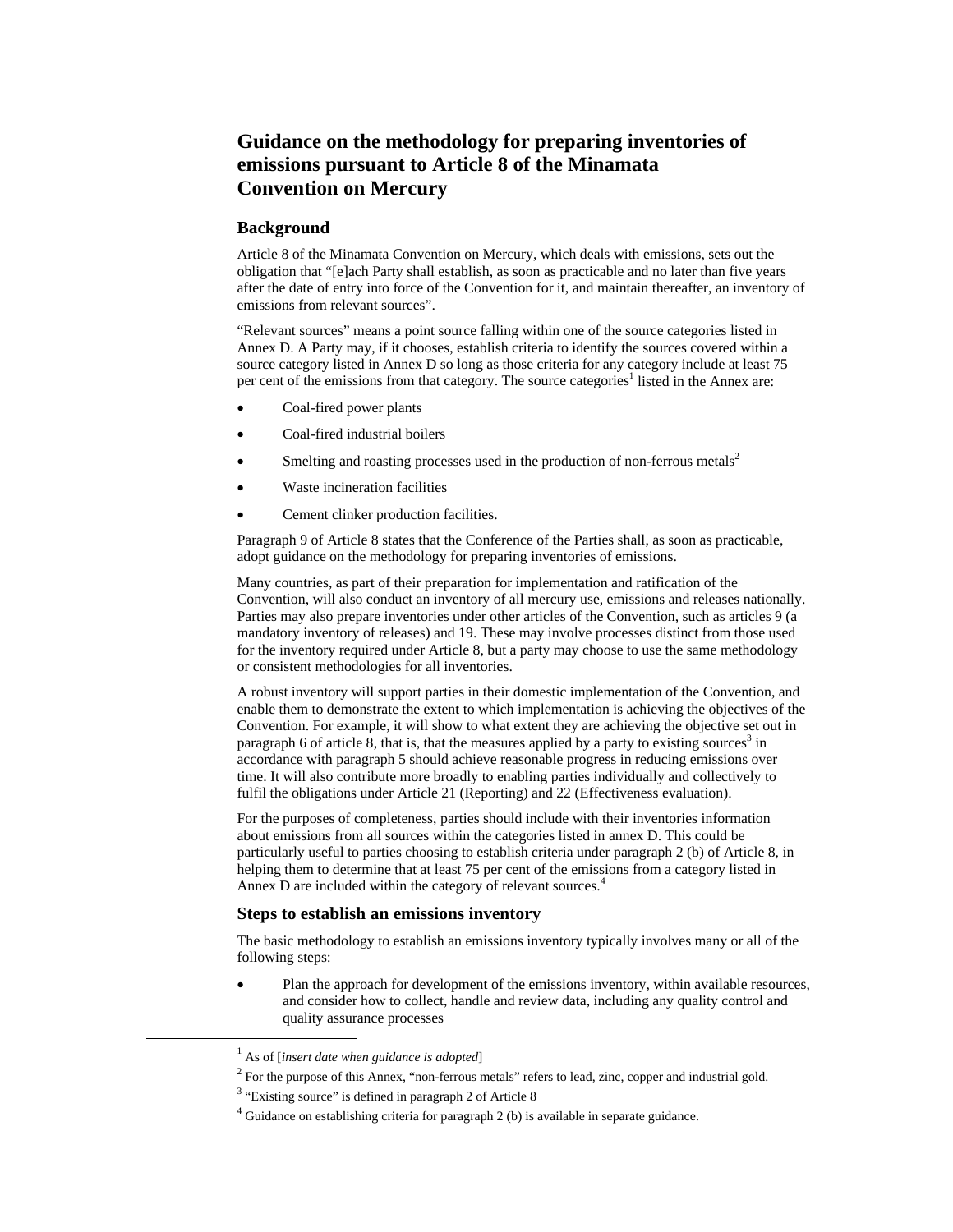# **Guidance on the methodology for preparing inventories of emissions pursuant to Article 8 of the Minamata Convention on Mercury**

# **Background**

Article 8 of the Minamata Convention on Mercury, which deals with emissions, sets out the obligation that "[e]ach Party shall establish, as soon as practicable and no later than five years after the date of entry into force of the Convention for it, and maintain thereafter, an inventory of emissions from relevant sources".

"Relevant sources" means a point source falling within one of the source categories listed in Annex D. A Party may, if it chooses, establish criteria to identify the sources covered within a source category listed in Annex D so long as those criteria for any category include at least 75 per cent of the emissions from that category. The source categories<sup>1</sup> listed in the Annex are:

- Coal-fired power plants
- Coal-fired industrial boilers
- Smelting and roasting processes used in the production of non-ferrous metals<sup>2</sup>
- Waste incineration facilities
- Cement clinker production facilities.

Paragraph 9 of Article 8 states that the Conference of the Parties shall, as soon as practicable, adopt guidance on the methodology for preparing inventories of emissions.

Many countries, as part of their preparation for implementation and ratification of the Convention, will also conduct an inventory of all mercury use, emissions and releases nationally. Parties may also prepare inventories under other articles of the Convention, such as articles 9 (a mandatory inventory of releases) and 19. These may involve processes distinct from those used for the inventory required under Article 8, but a party may choose to use the same methodology or consistent methodologies for all inventories.

A robust inventory will support parties in their domestic implementation of the Convention, and enable them to demonstrate the extent to which implementation is achieving the objectives of the Convention. For example, it will show to what extent they are achieving the objective set out in paragraph 6 of article  $\hat{8}$ , that is, that the measures applied by a party to existing sources<sup>3</sup> in accordance with paragraph 5 should achieve reasonable progress in reducing emissions over time. It will also contribute more broadly to enabling parties individually and collectively to fulfil the obligations under Article 21 (Reporting) and 22 (Effectiveness evaluation).

For the purposes of completeness, parties should include with their inventories information about emissions from all sources within the categories listed in annex D. This could be particularly useful to parties choosing to establish criteria under paragraph 2 (b) of Article 8, in helping them to determine that at least 75 per cent of the emissions from a category listed in Annex D are included within the category of relevant sources.<sup>4</sup>

## **Steps to establish an emissions inventory**

The basic methodology to establish an emissions inventory typically involves many or all of the following steps:

 Plan the approach for development of the emissions inventory, within available resources, and consider how to collect, handle and review data, including any quality control and quality assurance processes

 $2$  For the purpose of this Annex, "non-ferrous metals" refers to lead, zinc, copper and industrial gold.

<sup>&</sup>lt;sup>1</sup> As of [*insert date when guidance is adopted*]  $\frac{2}{\pi}$  For the number of this American formans of

<sup>&</sup>lt;sup>3</sup> "Existing source" is defined in paragraph 2 of Article 8

 $4$  Guidance on establishing criteria for paragraph 2 (b) is available in separate guidance.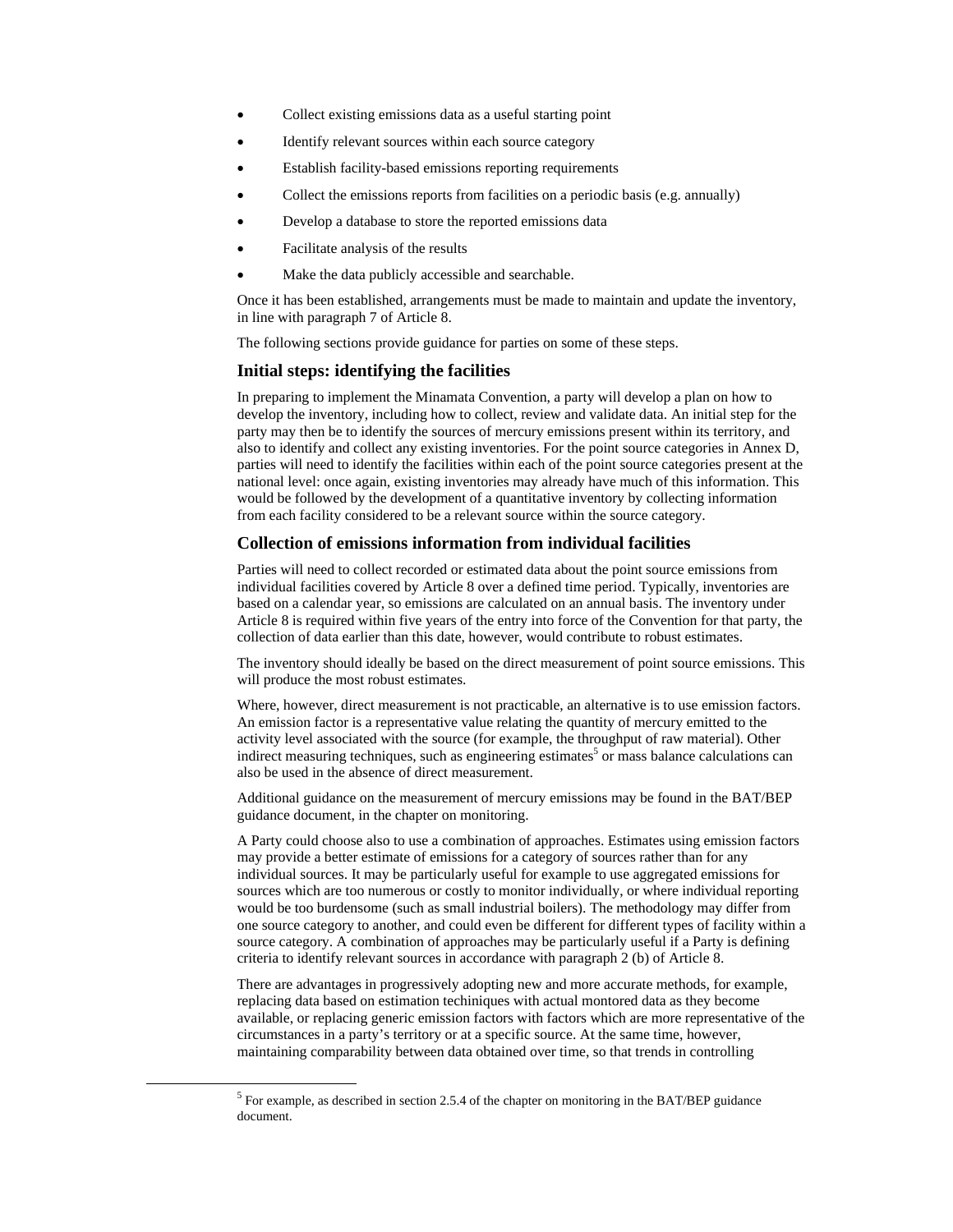- Collect existing emissions data as a useful starting point
- Identify relevant sources within each source category
- Establish facility-based emissions reporting requirements
- Collect the emissions reports from facilities on a periodic basis (e.g. annually)
- Develop a database to store the reported emissions data
- Facilitate analysis of the results
- Make the data publicly accessible and searchable.

Once it has been established, arrangements must be made to maintain and update the inventory, in line with paragraph 7 of Article 8.

The following sections provide guidance for parties on some of these steps.

## **Initial steps: identifying the facilities**

In preparing to implement the Minamata Convention, a party will develop a plan on how to develop the inventory, including how to collect, review and validate data. An initial step for the party may then be to identify the sources of mercury emissions present within its territory, and also to identify and collect any existing inventories. For the point source categories in Annex D, parties will need to identify the facilities within each of the point source categories present at the national level: once again, existing inventories may already have much of this information. This would be followed by the development of a quantitative inventory by collecting information from each facility considered to be a relevant source within the source category.

## **Collection of emissions information from individual facilities**

Parties will need to collect recorded or estimated data about the point source emissions from individual facilities covered by Article 8 over a defined time period. Typically, inventories are based on a calendar year, so emissions are calculated on an annual basis. The inventory under Article 8 is required within five years of the entry into force of the Convention for that party, the collection of data earlier than this date, however, would contribute to robust estimates.

The inventory should ideally be based on the direct measurement of point source emissions. This will produce the most robust estimates.

Where, however, direct measurement is not practicable, an alternative is to use emission factors. An emission factor is a representative value relating the quantity of mercury emitted to the activity level associated with the source (for example, the throughput of raw material). Other indirect measuring techniques, such as engineering estimates<sup>5</sup> or mass balance calculations can also be used in the absence of direct measurement.

Additional guidance on the measurement of mercury emissions may be found in the BAT/BEP guidance document, in the chapter on monitoring.

A Party could choose also to use a combination of approaches. Estimates using emission factors may provide a better estimate of emissions for a category of sources rather than for any individual sources. It may be particularly useful for example to use aggregated emissions for sources which are too numerous or costly to monitor individually, or where individual reporting would be too burdensome (such as small industrial boilers). The methodology may differ from one source category to another, and could even be different for different types of facility within a source category. A combination of approaches may be particularly useful if a Party is defining criteria to identify relevant sources in accordance with paragraph 2 (b) of Article 8.

There are advantages in progressively adopting new and more accurate methods, for example, replacing data based on estimation techiniques with actual montored data as they become available, or replacing generic emission factors with factors which are more representative of the circumstances in a party's territory or at a specific source. At the same time, however, maintaining comparability between data obtained over time, so that trends in controlling

 <sup>5</sup> For example, as described in section 2.5.4 of the chapter on monitoring in the BAT/BEP guidance document.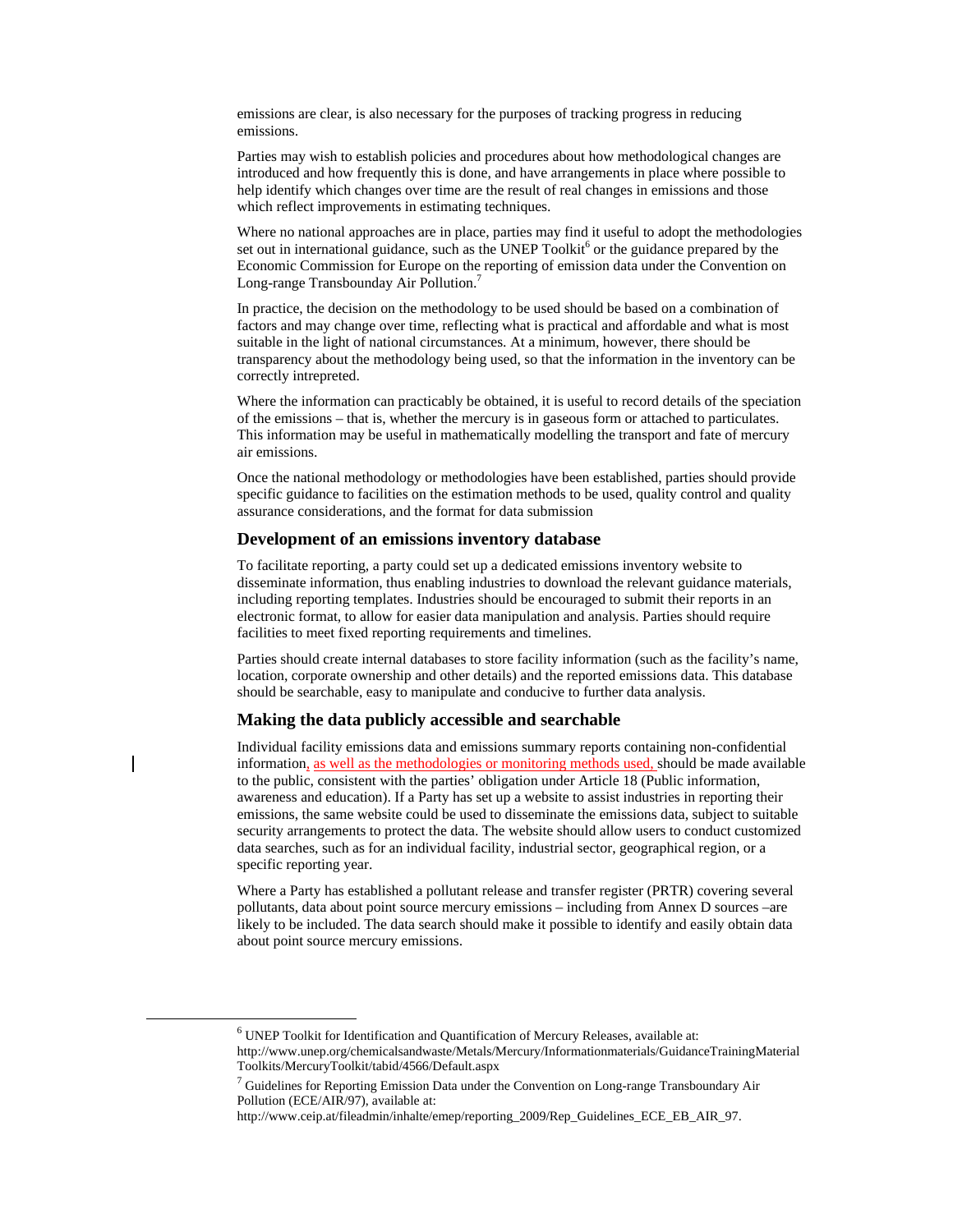emissions are clear, is also necessary for the purposes of tracking progress in reducing emissions.

Parties may wish to establish policies and procedures about how methodological changes are introduced and how frequently this is done, and have arrangements in place where possible to help identify which changes over time are the result of real changes in emissions and those which reflect improvements in estimating techniques.

Where no national approaches are in place, parties may find it useful to adopt the methodologies set out in international guidance, such as the UNEP Toolkit<sup>6</sup> or the guidance prepared by the Economic Commission for Europe on the reporting of emission data under the Convention on Long-range Transbounday Air Pollution.7

In practice, the decision on the methodology to be used should be based on a combination of factors and may change over time, reflecting what is practical and affordable and what is most suitable in the light of national circumstances. At a minimum, however, there should be transparency about the methodology being used, so that the information in the inventory can be correctly intrepreted.

Where the information can practicably be obtained, it is useful to record details of the speciation of the emissions – that is, whether the mercury is in gaseous form or attached to particulates. This information may be useful in mathematically modelling the transport and fate of mercury air emissions.

Once the national methodology or methodologies have been established, parties should provide specific guidance to facilities on the estimation methods to be used, quality control and quality assurance considerations, and the format for data submission

# **Development of an emissions inventory database**

To facilitate reporting, a party could set up a dedicated emissions inventory website to disseminate information, thus enabling industries to download the relevant guidance materials, including reporting templates. Industries should be encouraged to submit their reports in an electronic format, to allow for easier data manipulation and analysis. Parties should require facilities to meet fixed reporting requirements and timelines.

Parties should create internal databases to store facility information (such as the facility's name, location, corporate ownership and other details) and the reported emissions data. This database should be searchable, easy to manipulate and conducive to further data analysis.

## **Making the data publicly accessible and searchable**

Individual facility emissions data and emissions summary reports containing non-confidential information, as well as the methodologies or monitoring methods used, should be made available to the public, consistent with the parties' obligation under Article 18 (Public information, awareness and education). If a Party has set up a website to assist industries in reporting their emissions, the same website could be used to disseminate the emissions data, subject to suitable security arrangements to protect the data. The website should allow users to conduct customized data searches, such as for an individual facility, industrial sector, geographical region, or a specific reporting year.

Where a Party has established a pollutant release and transfer register (PRTR) covering several pollutants, data about point source mercury emissions – including from Annex D sources –are likely to be included. The data search should make it possible to identify and easily obtain data about point source mercury emissions.

 <sup>6</sup> UNEP Toolkit for Identification and Quantification of Mercury Releases, available at: http://www.unep.org/chemicalsandwaste/Metals/Mercury/Informationmaterials/GuidanceTrainingMaterial Toolkits/MercuryToolkit/tabid/4566/Default.aspx 7

 $\frac{7}{7}$  Guidelines for Reporting Emission Data under the Convention on Long-range Transboundary Air Pollution (ECE/AIR/97), available at:

http://www.ceip.at/fileadmin/inhalte/emep/reporting\_2009/Rep\_Guidelines\_ECE\_EB\_AIR\_97.